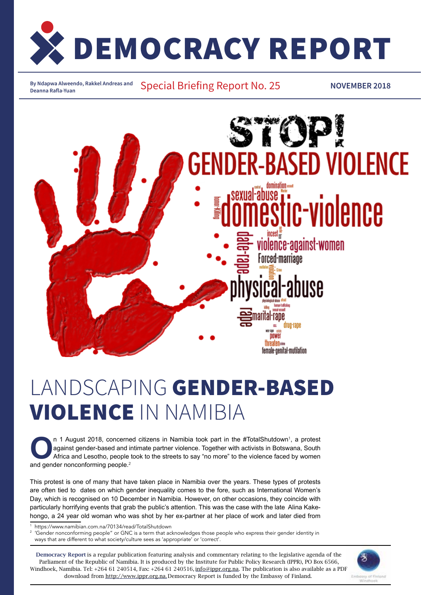

**By Ndapwa Alweendo, Rakkel Andreas and** 

Special Briefing Report No. 25 **Deanna Rafla-Yuan NOVEMBER 2018**



# Landscaping Gender-Based Violence in Namibia

n 1 August 2018, concerned citizens in Namibia took part in the #TotalShutdown<sup>1</sup><br>against gender-based and intimate partner violence. Together with activists in Botsw.<br>Africa and Lesotho, people took to the streets to say n 1 August 2018, concerned citizens in Namibia took part in the #TotalShutdown<sup>1</sup>, a protest against gender-based and intimate partner violence. Together with activists in Botswana, South Africa and Lesotho, people took to the streets to say "no more" to the violence faced by women and gender nonconforming people. $2$ 

This protest is one of many that have taken place in Namibia over the years. These types of protests are often tied to dates on which gender inequality comes to the fore, such as International Women's Day, which is recognised on 10 December in Namibia. However, on other occasions, they coincide with particularly horrifying events that grab the public's attention. This was the case with the late Alina Kakehongo, a 24 year old woman who was shot by her ex-partner at her place of work and later died from

1

1 https://www.namibian.com.na/70134/read/TotalShutdown<br><sup>2</sup> 'Gender nonconforming people" or GNC is a term that acknowledges those people who express their gender identity in ways that are different to what society/culture sees as 'appropriate' or 'correct'.

Democracy Report is a regular publication featuring analysis and commentary relating to the legislative agenda of the Parliament of the Republic of Namibia. It is produced by the Institute for Public Policy Research (IPPR), PO Box 6566, Windhoek, Namibia. Tel: +264 61 240514, Fax: +264 61 240516, info@ippr.org.na. The publication is also available as a PDF download from http://www.ippr.org.na. Democracy Report is funded by the Embassy of Finland.

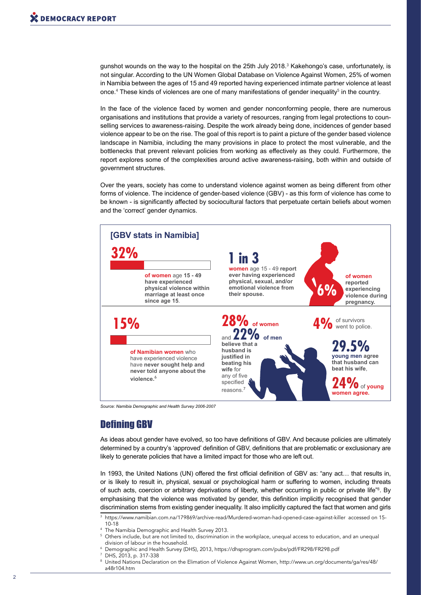gunshot wounds on the way to the hospital on the 25th July 2018. $^3$  Kakehongo's case, unfortunately, is not singular. According to the UN Women Global Database on Violence Against Women, 25% of women in Namibia between the ages of 15 and 49 reported having experienced intimate partner violence at least once.<sup>4</sup> These kinds of violences are one of many manifestations of gender inequality<sup>5</sup> in the country.

In the face of the violence faced by women and gender nonconforming people, there are numerous organisations and institutions that provide a variety of resources, ranging from legal protections to counselling services to awareness-raising. Despite the work already being done, incidences of gender based violence appear to be on the rise. The goal of this report is to paint a picture of the gender based violence landscape in Namibia, including the many provisions in place to protect the most vulnerable, and the bottlenecks that prevent relevant policies from working as effectively as they could. Furthermore, the report explores some of the complexities around active awareness-raising, both within and outside of government structures.

Over the years, society has come to understand violence against women as being different from other forms of violence. The incidence of gender-based violence (GBV) - as this form of violence has come to be known - is significantly affected by sociocultural factors that perpetuate certain beliefs about women and the 'correct' gender dynamics.



*Source: Namibia Demographic and Health Survey 2006-2007*

# Defining GBV

As ideas about gender have evolved, so too have definitions of GBV. And because policies are ultimately determined by a country's 'approved' definition of GBV, definitions that are problematic or exclusionary are likely to generate policies that have a limited impact for those who are left out.

In 1993, the United Nations (UN) offered the first official definition of GBV as: "any act... that results in, or is likely to result in, physical, sexual or psychological harm or suffering to women, including threats of such acts, coercion or arbitrary deprivations of liberty, whether occurring in public or private life"<sup>8</sup>. By emphasising that the violence was motivated by gender, this definition implicitly recognised that gender discrimination stems from existing gender inequality. It also implicitly captured the fact that women and girls

 $^{\rm 3}$  https://www.namibian.com.na/179869/archive-read/Murdered-woman-had-opened-case-against-killer  $\,$ accessed on 15- $\,$  $10-18$ 

- <sup>4</sup> The Namibia Demographic and Health Survey 2013.<br><sup>5</sup> Others include, but are not limited to, discrimination.
- Others include, but are not limited to, discrimination in the workplace, unequal access to education, and an unequal division of labour in the household.
- 6 Demographic and Health Survey (DHS), 2013, https://dhsprogram.com/pubs/pdf/FR298/FR298.pdf
- 7 DHS, 2013, p. 317-338
- 8 United Nations Declaration on the Elimation of Violence Against Women, http://www.un.org/documents/ga/res/48/ a48r104.htm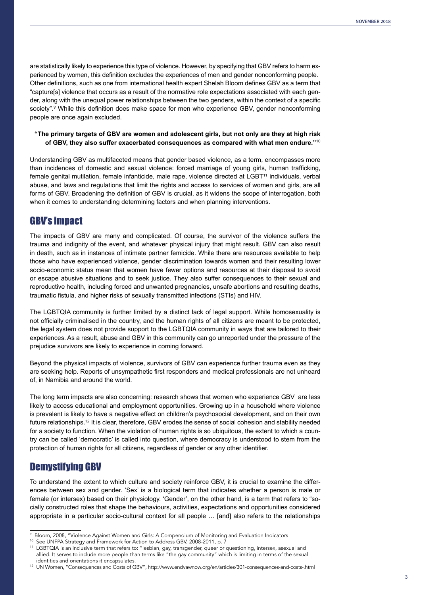are statistically likely to experience this type of violence. However, by specifying that GBV refers to harm experienced by women, this definition excludes the experiences of men and gender nonconforming people. Other definitions, such as one from international health expert Shelah Bloom defines GBV as a term that "capture[s] violence that occurs as a result of the normative role expectations associated with each gender, along with the unequal power relationships between the two genders, within the context of a specific society".<sup>9</sup> While this definition does make space for men who experience GBV, gender nonconforming people are once again excluded.

#### **"The primary targets of GBV are women and adolescent girls, but not only are they at high risk of GBV, they also suffer exacerbated consequences as compared with what men endure."**<sup>10</sup>

Understanding GBV as multifaceted means that gender based violence, as a term, encompasses more than incidences of domestic and sexual violence: forced marriage of young girls, human trafficking, female genital mutilation, female infanticide, male rape, violence directed at LGBT<sup>11</sup> individuals, verbal abuse, and laws and regulations that limit the rights and access to services of women and girls, are all forms of GBV. Broadening the definition of GBV is crucial, as it widens the scope of interrogation, both when it comes to understanding determining factors and when planning interventions.

### GBV's impact

The impacts of GBV are many and complicated. Of course, the survivor of the violence suffers the trauma and indignity of the event, and whatever physical injury that might result. GBV can also result in death, such as in instances of intimate partner femicide. While there are resources available to help those who have experienced violence, gender discrimination towards women and their resulting lower socio-economic status mean that women have fewer options and resources at their disposal to avoid or escape abusive situations and to seek justice. They also suffer consequences to their sexual and reproductive health, including forced and unwanted pregnancies, unsafe abortions and resulting deaths, traumatic fistula, and higher risks of sexually transmitted infections (STIs) and HIV.

The LGBTQIA community is further limited by a distinct lack of legal support. While homosexuality is not officially criminalised in the country, and the human rights of all citizens are meant to be protected, the legal system does not provide support to the LGBTQIA community in ways that are tailored to their experiences. As a result, abuse and GBV in this community can go unreported under the pressure of the prejudice survivors are likely to experience in coming forward.

Beyond the physical impacts of violence, survivors of GBV can experience further trauma even as they are seeking help. Reports of unsympathetic first responders and medical professionals are not unheard of, in Namibia and around the world.

The long term impacts are also concerning: research shows that women who experience GBV are less likely to access educational and employment opportunities. Growing up in a household where violence is prevalent is likely to have a negative effect on children's psychosocial development, and on their own future relationships.<sup>12</sup> It is clear, therefore, GBV erodes the sense of social cohesion and stability needed for a society to function. When the violation of human rights is so ubiquitous, the extent to which a country can be called 'democratic' is called into question, where democracy is understood to stem from the protection of human rights for all citizens, regardless of gender or any other identifier.

# Demystifying GBV

To understand the extent to which culture and society reinforce GBV, it is crucial to examine the differences between sex and gender. 'Sex' is a biological term that indicates whether a person is male or female (or intersex) based on their physiology. 'Gender', on the other hand, is a term that refers to "socially constructed roles that shape the behaviours, activities, expectations and opportunities considered appropriate in a particular socio-cultural context for all people … [and] also refers to the relationships

<sup>9</sup> Bloom, 2008, "Violence Against Women and Girls: A Compendium of Monitoring and Evaluation Indicators

<sup>&</sup>lt;sup>10</sup> See UNFPA Strategy and Framework for Action to Address GBV, 2008-2011, p. 7<br><sup>11</sup> LGBTOLA is an inclusive term that refers to: "leshian, gay transported guess or a

LGBTQIA is an inclusive term that refers to: "lesbian, gay, transgender, queer or questioning, intersex, asexual and allied. It serves to include more people than terms like "the gay community" which is limiting in terms of the sexual identities and orientations it encapsulates.

<sup>12</sup> UN Women, "Consequences and Costs of GBV", http://www.endvawnow.org/en/articles/301-consequences-and-costs-.html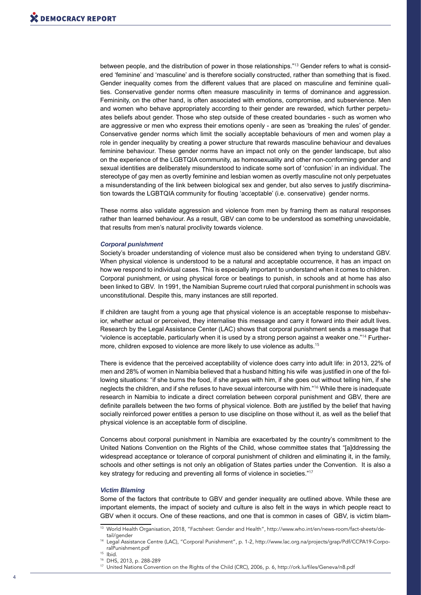between people, and the distribution of power in those relationships."<sup>13</sup> Gender refers to what is considered 'feminine' and 'masculine' and is therefore socially constructed, rather than something that is fixed. Gender inequality comes from the different values that are placed on masculine and feminine qualities. Conservative gender norms often measure masculinity in terms of dominance and aggression. Femininity, on the other hand, is often associated with emotions, compromise, and subservience. Men and women who behave appropriately according to their gender are rewarded, which further perpetuates beliefs about gender. Those who step outside of these created boundaries - such as women who are aggressive or men who express their emotions openly - are seen as 'breaking the rules' of gender. Conservative gender norms which limit the socially acceptable behaviours of men and women play a role in gender inequality by creating a power structure that rewards masculine behaviour and devalues feminine behaviour. These gender norms have an impact not only on the gender landscape, but also on the experience of the LGBTQIA community, as homosexuality and other non-conforming gender and sexual identities are deliberately misunderstood to indicate some sort of 'confusion' in an individual. The stereotype of gay men as overtly feminine and lesbian women as overtly masculine not only perpetuates a misunderstanding of the link between biological sex and gender, but also serves to justify discrimination towards the LGBTQIA community for flouting 'acceptable' (i.e. conservative) gender norms.

These norms also validate aggression and violence from men by framing them as natural responses rather than learned behaviour. As a result, GBV can come to be understood as something unavoidable, that results from men's natural proclivity towards violence.

#### *Corporal punishment*

Society's broader understanding of violence must also be considered when trying to understand GBV. When physical violence is understood to be a natural and acceptable occurrence, it has an impact on how we respond to individual cases. This is especially important to understand when it comes to children. Corporal punishment, or using physical force or beatings to punish, in schools and at home has also been linked to GBV. In 1991, the Namibian Supreme court ruled that corporal punishment in schools was unconstitutional. Despite this, many instances are still reported.

If children are taught from a young age that physical violence is an acceptable response to misbehavior, whether actual or perceived, they internalise this message and carry it forward into their adult lives. Research by the Legal Assistance Center (LAC) shows that corporal punishment sends a message that "violence is acceptable, particularly when it is used by a strong person against a weaker one."14 Furthermore, children exposed to violence are more likely to use violence as adults.<sup>15</sup>

There is evidence that the perceived acceptability of violence does carry into adult life: in 2013, 22% of men and 28% of women in Namibia believed that a husband hitting his wife was justified in one of the following situations: "if she burns the food, if she argues with him, if she goes out without telling him, if she neglects the children, and if she refuses to have sexual intercourse with him."<sup>16</sup> While there is inadequate research in Namibia to indicate a direct correlation between corporal punishment and GBV, there are definite parallels between the two forms of physical violence. Both are justified by the belief that having socially reinforced power entitles a person to use discipline on those without it, as well as the belief that physical violence is an acceptable form of discipline.

Concerns about corporal punishment in Namibia are exacerbated by the country's commitment to the United Nations Convention on the Rights of the Child, whose committee states that "[a]ddressing the widespread acceptance or tolerance of corporal punishment of children and eliminating it, in the family, schools and other settings is not only an obligation of States parties under the Convention. It is also a key strategy for reducing and preventing all forms of violence in societies."<sup>17</sup>

#### *Victim Blaming*

Some of the factors that contribute to GBV and gender inequality are outlined above. While these are important elements, the impact of society and culture is also felt in the ways in which people react to GBV when it occurs. One of these reactions, and one that is common in cases of GBV, is victim blam-

<sup>13</sup> World Health Organisation, 2018, "Factsheet: Gender and Health", http://www.who.int/en/news-room/fact-sheets/detail/gender

<sup>14</sup> Legal Assistance Centre (LAC), "Corporal Punishment", p. 1-2, http://www.lac.org.na/projects/grap/Pdf/CCPA19-CorporalPunishment.pdf

<sup>15</sup> Ibid.

<sup>16</sup> DHS, 2013, p. 288-289

<sup>17</sup> United Nations Convention on the Rights of the Child (CRC), 2006, p. 6, http://ork.lu/files/Geneva/n8.pdf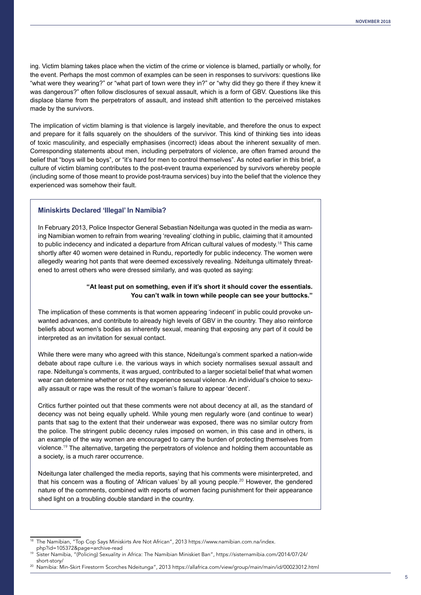ing. Victim blaming takes place when the victim of the crime or violence is blamed, partially or wholly, for the event. Perhaps the most common of examples can be seen in responses to survivors: questions like "what were they wearing?" or "what part of town were they in?" or "why did they go there if they knew it was dangerous?" often follow disclosures of sexual assault, which is a form of GBV. Questions like this displace blame from the perpetrators of assault, and instead shift attention to the perceived mistakes made by the survivors.

The implication of victim blaming is that violence is largely inevitable, and therefore the onus to expect and prepare for it falls squarely on the shoulders of the survivor. This kind of thinking ties into ideas of toxic masculinity, and especially emphasises (incorrect) ideas about the inherent sexuality of men. Corresponding statements about men, including perpetrators of violence, are often framed around the belief that "boys will be boys", or "it's hard for men to control themselves". As noted earlier in this brief, a culture of victim blaming contributes to the post-event trauma experienced by survivors whereby people (including some of those meant to provide post-trauma services) buy into the belief that the violence they experienced was somehow their fault.

#### **Miniskirts Declared 'Illegal' In Namibia?**

In February 2013, Police Inspector General Sebastian Ndeitunga was quoted in the media as warning Namibian women to refrain from wearing 'revealing' clothing in public, claiming that it amounted to public indecency and indicated a departure from African cultural values of modesty.<sup>18</sup> This came shortly after 40 women were detained in Rundu, reportedly for public indecency. The women were allegedly wearing hot pants that were deemed excessively revealing. Ndeitunga ultimately threatened to arrest others who were dressed similarly, and was quoted as saying:

#### **"At least put on something, even if it's short it should cover the essentials. You can't walk in town while people can see your buttocks."**

The implication of these comments is that women appearing 'indecent' in public could provoke unwanted advances, and contribute to already high levels of GBV in the country. They also reinforce beliefs about women's bodies as inherently sexual, meaning that exposing any part of it could be interpreted as an invitation for sexual contact.

While there were many who agreed with this stance, Ndeitunga's comment sparked a nation-wide debate about rape culture i.e. the various ways in which society normalises sexual assault and rape. Ndeitunga's comments, it was argued, contributed to a larger societal belief that what women wear can determine whether or not they experience sexual violence. An individual's choice to sexually assault or rape was the result of the woman's failure to appear 'decent'.

Critics further pointed out that these comments were not about decency at all, as the standard of decency was not being equally upheld. While young men regularly wore (and continue to wear) pants that sag to the extent that their underwear was exposed, there was no similar outcry from the police. The stringent public decency rules imposed on women, in this case and in others, is an example of the way women are encouraged to carry the burden of protecting themselves from violence.<sup>19</sup> The alternative, targeting the perpetrators of violence and holding them accountable as a society, is a much rarer occurrence.

Ndeitunga later challenged the media reports, saying that his comments were misinterpreted, and that his concern was a flouting of 'African values' by all young people.<sup>20</sup> However, the gendered nature of the comments, combined with reports of women facing punishment for their appearance shed light on a troubling double standard in the country.

The Namibian, "Top Cop Says Miniskirts Are Not African", 2013 https://www.namibian.com.na/index.<br>php?id=105372&page=archive-read

Sister Namibia, "(Policing) Sexuality in Africa: The Namibian Miniskiet Ban", https://sisternamibia.com/2014/07/24/

short-story/ 20 Namibia: Min-Skirt Firestorm Scorches Ndeitunga", 2013 https://allafrica.com/view/group/main/main/id/00023012.html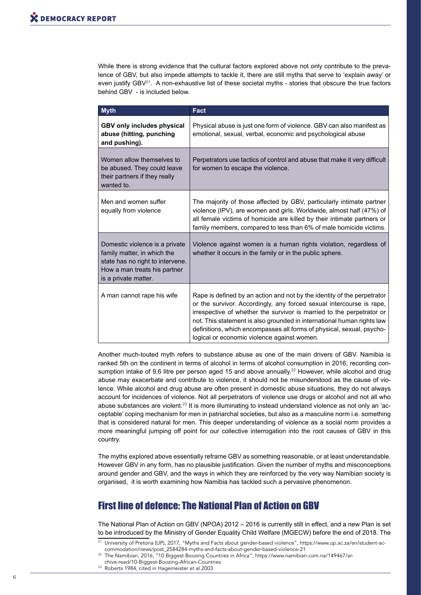While there is strong evidence that the cultural factors explored above not only contribute to the prevalence of GBV, but also impede attempts to tackle it, there are still myths that serve to 'explain away' or even justify  $GBV^{21}$ . A non-exhaustive list of these societal myths - stories that obscure the true factors behind GBV - is included below.

| <b>Myth</b>                                                                                                                                               | Fact                                                                                                                                                                                                                                                                                                                                                                                                                       |  |
|-----------------------------------------------------------------------------------------------------------------------------------------------------------|----------------------------------------------------------------------------------------------------------------------------------------------------------------------------------------------------------------------------------------------------------------------------------------------------------------------------------------------------------------------------------------------------------------------------|--|
| <b>GBV only includes physical</b><br>abuse (hitting, punching<br>and pushing).                                                                            | Physical abuse is just one form of violence. GBV can also manifest as<br>emotional, sexual, verbal, economic and psychological abuse                                                                                                                                                                                                                                                                                       |  |
| Women allow themselves to<br>be abused. They could leave<br>their partners if they really<br>wanted to.                                                   | Perpetrators use tactics of control and abuse that make it very difficult<br>for women to escape the violence.                                                                                                                                                                                                                                                                                                             |  |
| Men and women suffer<br>equally from violence                                                                                                             | The majority of those affected by GBV, particularly intimate partner<br>violence (IPV), are women and girls. Worldwide, almost half (47%) of<br>all female victims of homicide are killed by their intimate partners or<br>family members, compared to less than 6% of male homicide victims.                                                                                                                              |  |
| Domestic violence is a private<br>family matter, in which the<br>state has no right to intervene.<br>How a man treats his partner<br>is a private matter. | Violence against women is a human rights violation, regardless of<br>whether it occurs in the family or in the public sphere.                                                                                                                                                                                                                                                                                              |  |
| A man cannot rape his wife                                                                                                                                | Rape is defined by an action and not by the identity of the perpetrator<br>or the survivor. Accordingly, any forced sexual intercourse is rape,<br>irrespective of whether the survivor is married to the perpetrator or<br>not. This statement is also grounded in international human rights law<br>definitions, which encompasses all forms of physical, sexual, psycho-<br>logical or economic violence against women. |  |

Another much-touted myth refers to substance abuse as one of the main drivers of GBV. Namibia is ranked 5th on the continent in terms of alcohol in terms of alcohol consumption in 2016, recording consumption intake of 9,6 litre per person aged 15 and above annually.<sup>22</sup> However, while alcohol and drug abuse may exacerbate and contribute to violence, it should not be misunderstood as the cause of violence. While alcohol and drug abuse are often present in domestic abuse situations, they do not always account for incidences of violence. Not all perpetrators of violence use drugs or alcohol and not all who abuse substances are violent.<sup>23</sup> It is more illuminating to instead understand violence as not only an 'acceptable' coping mechanism for men in patriarchal societies, but also as a masculine norm i.e. something that is considered natural for men. This deeper understanding of violence as a social norm provides a more meaningful jumping off point for our collective interrogation into the root causes of GBV in this country.

The myths explored above essentially reframe GBV as something reasonable, or at least understandable. However GBV in any form, has no plausible justification. Given the number of myths and misconceptions around gender and GBV, and the ways in which they are reinforced by the very way Namibian society is organised, it is worth examining how Namibia has tackled such a pervasive phenomenon.

# First line of defence: The National Plan of Action on GBV

The National Plan of Action on GBV (NPOA) 2012 – 2016 is currently still in effect, and a new Plan is set to be introduced by the Ministry of Gender Equality Child Welfare (MGECW) before the end of 2018. The

22 The Namibian, 2016, "10 Biggest Boozing Countries in Africa", https://www.namibian.com.na/149467/ar-

chive-read/10-Biggest-Boozing-African-Countries

23 Roberts 1984, cited in Hagemeister et al 2003

<sup>21</sup> University of Pretoria (UP), 2017, "Myths and Facts about gender-based violence", https://www.up.ac.za/en/student-accommodation/news/post\_2584284-myths-and-facts-about-gender-based-violence-21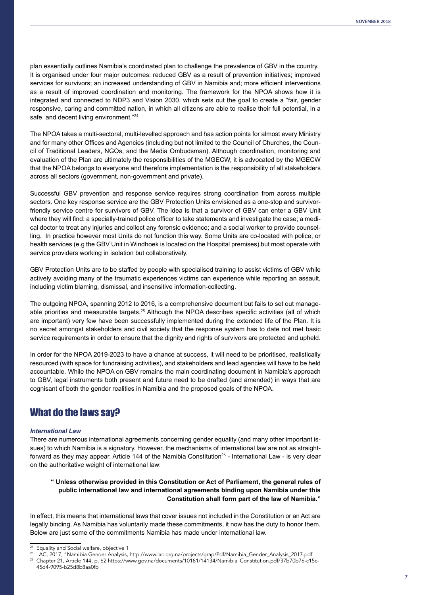plan essentially outlines Namibia's coordinated plan to challenge the prevalence of GBV in the country. It is organised under four major outcomes: reduced GBV as a result of prevention initiatives; improved services for survivors; an increased understanding of GBV in Namibia and; more efficient interventions as a result of improved coordination and monitoring. The framework for the NPOA shows how it is integrated and connected to NDP3 and Vision 2030, which sets out the goal to create a "fair, gender responsive, caring and committed nation, in which all citizens are able to realise their full potential, in a safe and decent living environment."<sup>24</sup>

The NPOA takes a multi-sectoral, multi-levelled approach and has action points for almost every Ministry and for many other Offices and Agencies (including but not limited to the Council of Churches, the Council of Traditional Leaders, NGOs, and the Media Ombudsman). Although coordination, monitoring and evaluation of the Plan are ultimately the responsibilities of the MGECW, it is advocated by the MGECW that the NPOA belongs to everyone and therefore implementation is the responsibility of all stakeholders across all sectors (government, non-government and private).

Successful GBV prevention and response service requires strong coordination from across multiple sectors. One key response service are the GBV Protection Units envisioned as a one-stop and survivorfriendly service centre for survivors of GBV. The idea is that a survivor of GBV can enter a GBV Unit where they will find: a specially-trained police officer to take statements and investigate the case; a medical doctor to treat any injuries and collect any forensic evidence; and a social worker to provide counselling. In practice however most Units do not function this way. Some Units are co-located with police, or health services (e.g the GBV Unit in Windhoek is located on the Hospital premises) but most operate with service providers working in isolation but collaboratively.

GBV Protection Units are to be staffed by people with specialised training to assist victims of GBV while actively avoiding many of the traumatic experiences victims can experience while reporting an assault, including victim blaming, dismissal, and insensitive information-collecting.

The outgoing NPOA, spanning 2012 to 2016, is a comprehensive document but fails to set out manageable priorities and measurable targets.<sup>25</sup> Although the NPOA describes specific activities (all of which are important) very few have been successfully implemented during the extended life of the Plan. It is no secret amongst stakeholders and civil society that the response system has to date not met basic service requirements in order to ensure that the dignity and rights of survivors are protected and upheld.

In order for the NPOA 2019-2023 to have a chance at success, it will need to be prioritised, realistically resourced (with space for fundraising activities), and stakeholders and lead agencies will have to be held accountable. While the NPOA on GBV remains the main coordinating document in Namibia's approach to GBV, legal instruments both present and future need to be drafted (and amended) in ways that are cognisant of both the gender realities in Namibia and the proposed goals of the NPOA.

# What do the laws say?

#### *International Law*

There are numerous international agreements concerning gender equality (and many other important issues) to which Namibia is a signatory. However, the mechanisms of international law are not as straightforward as they may appear. Article 144 of the Namibia Constitution<sup>26</sup> - International Law - is very clear on the authoritative weight of international law:

#### **" Unless otherwise provided in this Constitution or Act of Parliament, the general rules of public international law and international agreements binding upon Namibia under this Constitution shall form part of the law of Namibia."**

In effect, this means that international laws that cover issues not included in the Constitution or an Act are legally binding. As Namibia has voluntarily made these commitments, it now has the duty to honor them. Below are just some of the commitments Namibia has made under international law.

<sup>&</sup>lt;sup>24</sup> Equality and Social welfare, objective 1<br><sup>25</sup> LAC, 2017, "Namibia Gender Analysis, http://www.lac.org.na/projects/grap/Pdf/Namibia\_Gender\_Analysis\_2017.pdf

Chapter 21, Article 144, p. 62 https://www.gov.na/documents/10181/14134/Namibia\_Constitution.pdf/37b70b76-c15c-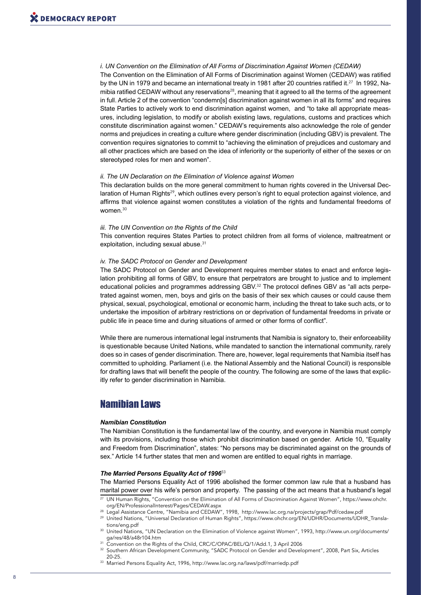*i. UN Convention on the Elimination of All Forms of Discrimination Against Women (CEDAW)* The Convention on the Elimination of All Forms of Discrimination against Women (CEDAW) was ratified by the UN in 1979 and became an international treaty in 1981 after 20 countries ratified it.<sup>27</sup> In 1992, Namibia ratified CEDAW without any reservations<sup>28</sup>, meaning that it agreed to all the terms of the agreement in full. Article 2 of the convention "condemn[s] discrimination against women in all its forms" and requires State Parties to actively work to end discrimination against women, and "to take all appropriate measures, including legislation, to modify or abolish existing laws, regulations, customs and practices which constitute discrimination against women." CEDAW's requirements also acknowledge the role of gender norms and prejudices in creating a culture where gender discrimination (including GBV) is prevalent. The convention requires signatories to commit to "achieving the elimination of prejudices and customary and all other practices which are based on the idea of inferiority or the superiority of either of the sexes or on stereotyped roles for men and women".

#### *ii. The UN Declaration on the Elimination of Violence against Women*

This declaration builds on the more general commitment to human rights covered in the Universal Declaration of Human Rights<sup>29</sup>, which outlines every person's right to equal protection against violence, and affirms that violence against women constitutes a violation of the rights and fundamental freedoms of women.<sup>30</sup>

#### *iii. The UN Convention on the Rights of the Child*

This convention requires States Parties to protect children from all forms of violence, maltreatment or exploitation, including sexual abuse.<sup>31</sup>

#### *iv. The SADC Protocol on Gender and Development*

The SADC Protocol on Gender and Development requires member states to enact and enforce legislation prohibiting all forms of GBV, to ensure that perpetrators are brought to justice and to implement educational policies and programmes addressing GBV.32 The protocol defines GBV as "all acts perpetrated against women, men, boys and girls on the basis of their sex which causes or could cause them physical, sexual, psychological, emotional or economic harm, including the threat to take such acts, or to undertake the imposition of arbitrary restrictions on or deprivation of fundamental freedoms in private or public life in peace time and during situations of armed or other forms of conflict".

While there are numerous international legal instruments that Namibia is signatory to, their enforceability is questionable because United Nations, while mandated to sanction the international community, rarely does so in cases of gender discrimination. There are, however, legal requirements that Namibia itself has committed to upholding. Parliament (i.e. the National Assembly and the National Council) is responsible for drafting laws that will benefit the people of the country. The following are some of the laws that explicitly refer to gender discrimination in Namibia.

### Namibian Laws

#### *Namibian Constitution*

The Namibian Constitution is the fundamental law of the country, and everyone in Namibia must comply with its provisions, including those which prohibit discrimination based on gender. Article 10, "Equality and Freedom from Discrimination", states: "No persons may be discriminated against on the grounds of sex." Article 14 further states that men and women are entitled to equal rights in marriage.

#### *The Married Persons Equality Act of 1996*<sup>33</sup>

The Married Persons Equality Act of 1996 abolished the former common law rule that a husband has marital power over his wife's person and property. The passing of the act means that a husband's legal

- 27 UN Human Rights, "Convention on the Elimination of All Forms of Discrimination Against Women", https://www.ohchr. org/EN/ProfessionalInterest/Pages/CEDAW.aspx
- 28 Legal Assistance Centre, "Namibia and CEDAW", 1998, http://www.lac.org.na/projects/grap/Pdf/cedaw.pdf
- 29 United Nations, "Universal Declaration of Human Rights", https://www.ohchr.org/EN/UDHR/Documents/UDHR\_Transla-
- tions/eng.pdf<br><sup>30</sup> United Nations, "UN Declaration on the Elimination of Violence against Women", 1993, http://www.un.org/documents/<br>qa/res/48/a48r104.htm
- Sonvention on the Rights of the Child, CRC/C/OPAC/BEL/Q/1/Add.1, 3 April 2006
- <sup>32</sup> Southern African Development Community, "SADC Protocol on Gender and Development", 2008, Part Six, Articles 20-25.
- 33 Married Persons Equality Act, 1996, http://www.lac.org.na/laws/pdf/marriedp.pdf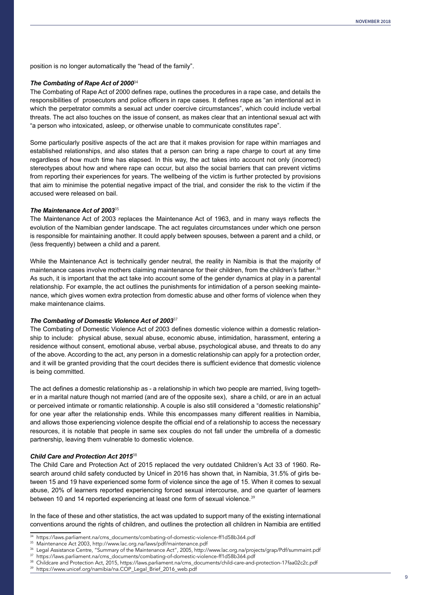position is no longer automatically the "head of the family".

#### *The Combating of Rape Act of 2000*<sup>34</sup>

The Combating of Rape Act of 2000 defines rape, outlines the procedures in a rape case, and details the responsibilities of prosecutors and police officers in rape cases. It defines rape as "an intentional act in which the perpetrator commits a sexual act under coercive circumstances", which could include verbal threats. The act also touches on the issue of consent, as makes clear that an intentional sexual act with "a person who intoxicated, asleep, or otherwise unable to communicate constitutes rape".

Some particularly positive aspects of the act are that it makes provision for rape within marriages and established relationships, and also states that a person can bring a rape charge to court at any time regardless of how much time has elapsed. In this way, the act takes into account not only (incorrect) stereotypes about how and where rape can occur, but also the social barriers that can prevent victims from reporting their experiences for years. The wellbeing of the victim is further protected by provisions that aim to minimise the potential negative impact of the trial, and consider the risk to the victim if the accused were released on bail.

#### *The Maintenance Act of 2003*<sup>35</sup>

The Maintenance Act of 2003 replaces the Maintenance Act of 1963, and in many ways reflects the evolution of the Namibian gender landscape. The act regulates circumstances under which one person is responsible for maintaining another. It could apply between spouses, between a parent and a child, or (less frequently) between a child and a parent.

While the Maintenance Act is technically gender neutral, the reality in Namibia is that the majority of maintenance cases involve mothers claiming maintenance for their children, from the children's father.<sup>36</sup> As such, it is important that the act take into account some of the gender dynamics at play in a parental relationship. For example, the act outlines the punishments for intimidation of a person seeking maintenance, which gives women extra protection from domestic abuse and other forms of violence when they make maintenance claims.

#### *The Combating of Domestic Violence Act of 2003*<sup>37</sup>

The Combating of Domestic Violence Act of 2003 defines domestic violence within a domestic relationship to include: physical abuse, sexual abuse, economic abuse, intimidation, harassment, entering a residence without consent, emotional abuse, verbal abuse, psychological abuse, and threats to do any of the above. According to the act, any person in a domestic relationship can apply for a protection order, and it will be granted providing that the court decides there is sufficient evidence that domestic violence is being committed.

The act defines a domestic relationship as - a relationship in which two people are married, living together in a marital nature though not married (and are of the opposite sex), share a child, or are in an actual or perceived intimate or romantic relationship. A couple is also still considered a "domestic relationship" for one year after the relationship ends. While this encompasses many different realities in Namibia, and allows those experiencing violence despite the official end of a relationship to access the necessary resources, it is notable that people in same sex couples do not fall under the umbrella of a domestic partnership, leaving them vulnerable to domestic violence.

#### *Child Care and Protection Act 2015*<sup>38</sup>

The Child Care and Protection Act of 2015 replaced the very outdated Children's Act 33 of 1960. Research around child safety conducted by Unicef in 2016 has shown that, in Namibia, 31.5% of girls between 15 and 19 have experienced some form of violence since the age of 15. When it comes to sexual abuse, 20% of learners reported experiencing forced sexual intercourse, and one quarter of learners between 10 and 14 reported experiencing at least one form of sexual violence.<sup>39</sup>

In the face of these and other statistics, the act was updated to support many of the existing international conventions around the rights of children, and outlines the protection all children in Namibia are entitled

<sup>34</sup> https://laws.parliament.na/cms\_documents/combating-of-domestic-violence-ff1d58b364.pdf

<sup>&</sup>lt;sup>35</sup> Maintenance Act 2003, http://www.lac.org.na/laws/pdf/maintenance.pdf<br><sup>36</sup> Legal Assistance Centre, "Summary of the Maintenance Act", 2005, http://www.lac.org.na/projects/grap/Pdf/summaint.pdf<br><sup>37</sup> https://hyve.parliam

https://laws.parliament.na/cms\_documents/combating-of-domestic-violence-ff1d58b364.pdf<br>38 Childcare and Protection Act, 2015, https://laws.parliament.na/cms\_documents/child-care-and-protection-17faa02c2c.pdf

<sup>39</sup> https://www.unicef.org/namibia/na.COP\_Legal\_Brief\_2016\_web.pdf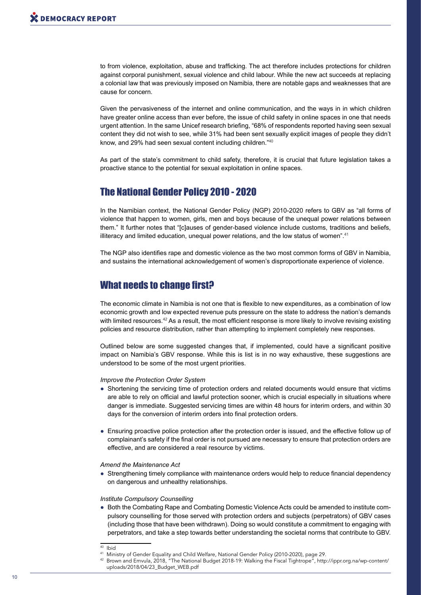to from violence, exploitation, abuse and trafficking. The act therefore includes protections for children against corporal punishment, sexual violence and child labour. While the new act succeeds at replacing a colonial law that was previously imposed on Namibia, there are notable gaps and weaknesses that are cause for concern.

Given the pervasiveness of the internet and online communication, and the ways in in which children have greater online access than ever before, the issue of child safety in online spaces in one that needs urgent attention. In the same Unicef research briefing, "68% of respondents reported having seen sexual content they did not wish to see, while 31% had been sent sexually explicit images of people they didn't know, and 29% had seen sexual content including children."<sup>40</sup>

As part of the state's commitment to child safety, therefore, it is crucial that future legislation takes a proactive stance to the potential for sexual exploitation in online spaces.

# The National Gender Policy 2010 - 2020

In the Namibian context, the National Gender Policy (NGP) 2010-2020 refers to GBV as "all forms of violence that happen to women, girls, men and boys because of the unequal power relations between them." It further notes that "[c]auses of gender-based violence include customs, traditions and beliefs, illiteracy and limited education, unequal power relations, and the low status of women".<sup>41</sup>

The NGP also identifies rape and domestic violence as the two most common forms of GBV in Namibia, and sustains the international acknowledgement of women's disproportionate experience of violence.

# What needs to change first?

The economic climate in Namibia is not one that is flexible to new expenditures, as a combination of low economic growth and low expected revenue puts pressure on the state to address the nation's demands with limited resources.<sup>42</sup> As a result, the most efficient response is more likely to involve revising existing policies and resource distribution, rather than attempting to implement completely new responses.

Outlined below are some suggested changes that, if implemented, could have a significant positive impact on Namibia's GBV response. While this is list is in no way exhaustive, these suggestions are understood to be some of the most urgent priorities.

#### *Improve the Protection Order System*

- Shortening the servicing time of protection orders and related documents would ensure that victims are able to rely on official and lawful protection sooner, which is crucial especially in situations where danger is immediate. Suggested servicing times are within 48 hours for interim orders, and within 30 days for the conversion of interim orders into final protection orders.
- Ensuring proactive police protection after the protection order is issued, and the effective follow up of complainant's safety if the final order is not pursued are necessary to ensure that protection orders are effective, and are considered a real resource by victims.

#### *Amend the Maintenance Act*

● Strengthening timely compliance with maintenance orders would help to reduce financial dependency on dangerous and unhealthy relationships.

#### *Institute Compulsory Counselling*

● Both the Combating Rape and Combating Domestic Violence Acts could be amended to institute compulsory counselling for those served with protection orders and subjects (perpetrators) of GBV cases (including those that have been withdrawn). Doing so would constitute a commitment to engaging with perpetrators, and take a step towards better understanding the societal norms that contribute to GBV.

 $40$  Ibid

<sup>41</sup> Ministry of Gender Equality and Child Welfare, National Gender Policy (2010-2020), page 29.

<sup>42</sup> Brown and Emvula, 2018, "The National Budget 2018-19: Walking the Fiscal Tightrope", http://ippr.org.na/wp-content/ uploads/2018/04/23\_Budget\_WEB.pdf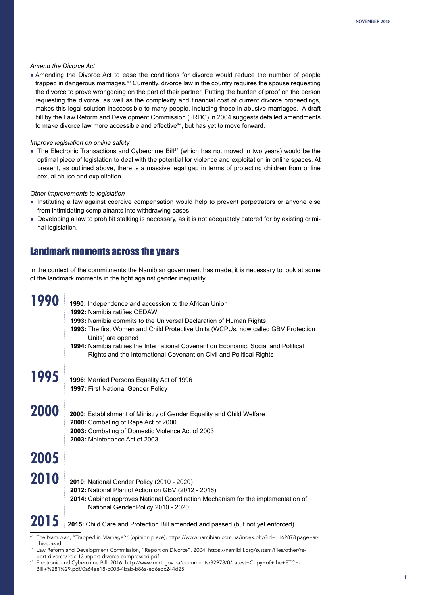#### *Amend the Divorce Act*

● Amending the Divorce Act to ease the conditions for divorce would reduce the number of people trapped in dangerous marriages.<sup>43</sup> Currently, divorce law in the country requires the spouse requesting the divorce to prove wrongdoing on the part of their partner. Putting the burden of proof on the person requesting the divorce, as well as the complexity and financial cost of current divorce proceedings, makes this legal solution inaccessible to many people, including those in abusive marriages. A draft bill by the Law Reform and Development Commission (LRDC) in 2004 suggests detailed amendments to make divorce law more accessible and effective<sup>44</sup>, but has yet to move forward.

#### *Improve legislation on online safety*

• The Electronic Transactions and Cybercrime Bill<sup>45</sup> (which has not moved in two years) would be the optimal piece of legislation to deal with the potential for violence and exploitation in online spaces. At present, as outlined above, there is a massive legal gap in terms of protecting children from online sexual abuse and exploitation.

#### *Other improvements to legislation*

- Instituting a law against coercive compensation would help to prevent perpetrators or anyone else from intimidating complainants into withdrawing cases
- Developing a law to prohibit stalking is necessary, as it is not adequately catered for by existing criminal legislation.

### Landmark moments across the years

In the context of the commitments the Namibian government has made, it is necessary to look at some of the landmark moments in the fight against gender inequality.

| 1990       | 1990: Independence and accession to the African Union<br>1992: Namibia ratifies CEDAW<br>1993: Namibia commits to the Universal Declaration of Human Rights<br>1993: The first Women and Child Protective Units (WCPUs, now called GBV Protection<br>Units) are opened<br>1994: Namibia ratifies the International Covenant on Economic, Social and Political<br>Rights and the International Covenant on Civil and Political Rights |
|------------|--------------------------------------------------------------------------------------------------------------------------------------------------------------------------------------------------------------------------------------------------------------------------------------------------------------------------------------------------------------------------------------------------------------------------------------|
| 1995       | 1996: Married Persons Equality Act of 1996<br>1997: First National Gender Policy                                                                                                                                                                                                                                                                                                                                                     |
| 2000       | 2000: Establishment of Ministry of Gender Equality and Child Welfare<br>2000: Combating of Rape Act of 2000<br>2003: Combating of Domestic Violence Act of 2003<br>2003: Maintenance Act of 2003                                                                                                                                                                                                                                     |
| 2005       |                                                                                                                                                                                                                                                                                                                                                                                                                                      |
| 2010       | 2010: National Gender Policy (2010 - 2020)<br>2012: National Plan of Action on GBV (2012 - 2016)<br>2014: Cabinet approves National Coordination Mechanism for the implementation of<br>National Gender Policy 2010 - 2020                                                                                                                                                                                                           |
| 2015       | 2015: Child Care and Protection Bill amended and passed (but not yet enforced)                                                                                                                                                                                                                                                                                                                                                       |
| chive-read | 43 The Namibian, "Trapped in Marriage?" (opinion piece), https://www.namibian.com.na/index.php?id=116287&page=ar-                                                                                                                                                                                                                                                                                                                    |

- 44 Law Reform and Development Commission, "Report on Divorce", 2004, https://namiblii.org/system/files/other/re-
- port-divorce/lrdc-13-report-divorce.compressed.pdf<br>Electronic and Cybercrime Bill, 2016, http://www.mict.gov.na/documents/32978/0/Latest+Copy+of+the+ETC+-Bill+%281%29.pdf/0a64ae18-b008-4bab-b86a-ed6adc244d25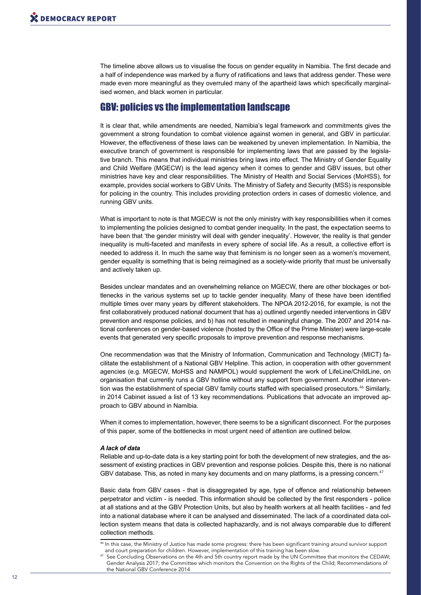The timeline above allows us to visualise the focus on gender equality in Namibia. The first decade and a half of independence was marked by a flurry of ratifications and laws that address gender. These were made even more meaningful as they overruled many of the apartheid laws which specifically marginalised women, and black women in particular.

### GBV: policies vs the implementation landscape

It is clear that, while amendments are needed, Namibia's legal framework and commitments gives the government a strong foundation to combat violence against women in general, and GBV in particular. However, the effectiveness of these laws can be weakened by uneven implementation. In Namibia, the executive branch of government is responsible for implementing laws that are passed by the legislative branch. This means that individual ministries bring laws into effect. The Ministry of Gender Equality and Child Welfare (MGECW) is the lead agency when it comes to gender and GBV issues, but other ministries have key and clear responsibilities. The Ministry of Health and Social Services (MoHSS), for example, provides social workers to GBV Units. The Ministry of Safety and Security (MSS) is responsible for policing in the country. This includes providing protection orders in cases of domestic violence, and running GBV units.

What is important to note is that MGECW is not the only ministry with key responsibilities when it comes to implementing the policies designed to combat gender inequality. In the past, the expectation seems to have been that 'the gender ministry will deal with gender inequality'. However, the reality is that gender inequality is multi-faceted and manifests in every sphere of social life. As a result, a collective effort is needed to address it. In much the same way that feminism is no longer seen as a women's movement, gender equality is something that is being reimagined as a society-wide priority that must be universally and actively taken up.

Besides unclear mandates and an overwhelming reliance on MGECW, there are other blockages or bottlenecks in the various systems set up to tackle gender inequality. Many of these have been identified multiple times over many years by different stakeholders. The NPOA 2012-2016, for example, is not the first collaboratively produced national document that has a) outlined urgently needed interventions in GBV prevention and response policies, and b) has not resulted in meaningful change. The 2007 and 2014 national conferences on gender-based violence (hosted by the Office of the Prime Minister) were large-scale events that generated very specific proposals to improve prevention and response mechanisms.

One recommendation was that the Ministry of Information, Communication and Technology (MICT) facilitate the establishment of a National GBV Helpline. This action, in cooperation with other government agencies (e.g. MGECW, MoHSS and NAMPOL) would supplement the work of LifeLine/ChildLine, on organisation that currently runs a GBV hotline without any support from government. Another intervention was the establishment of special GBV family courts staffed with specialised prosecutors.<sup>46</sup> Similarly, in 2014 Cabinet issued a list of 13 key recommendations. Publications that advocate an improved approach to GBV abound in Namibia.

When it comes to implementation, however, there seems to be a significant disconnect. For the purposes of this paper, some of the bottlenecks in most urgent need of attention are outlined below.

#### *A lack of data*

Reliable and up-to-date data is a key starting point for both the development of new strategies, and the assessment of existing practices in GBV prevention and response policies. Despite this, there is no national GBV database. This, as noted in many key documents and on many platforms, is a pressing concern.<sup>47</sup>

Basic data from GBV cases - that is disaggregated by age, type of offence and relationship between perpetrator and victim - is needed. This information should be collected by the first responders - police at all stations and at the GBV Protection Units, but also by health workers at all health facilities - and fed into a national database where it can be analysed and disseminated. The lack of a coordinated data collection system means that data is collected haphazardly, and is not always comparable due to different collection methods.

<sup>46</sup> In this case, the Ministry of Justice has made some progress: there has been significant training around survivor support and court preparation for children. However, implementation of this training has been slow.

<sup>&</sup>lt;sup>47</sup> See Concluding Observations on the 4th and 5th country report made by the UN Committee that monitors the CEDAW; Gender Analysis 2017; the Committee which monitors the Convention on the Rights of the Child; Recommendations of the National GBV Conference 2014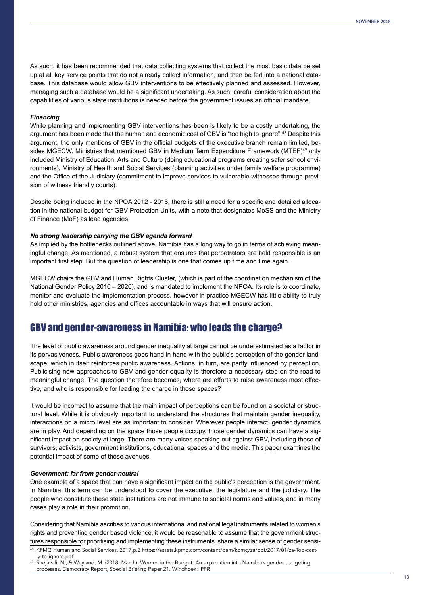As such, it has been recommended that data collecting systems that collect the most basic data be set up at all key service points that do not already collect information, and then be fed into a national database. This database would allow GBV interventions to be effectively planned and assessed. However, managing such a database would be a significant undertaking. As such, careful consideration about the capabilities of various state institutions is needed before the government issues an official mandate.

#### *Financing*

While planning and implementing GBV interventions has been is likely to be a costly undertaking, the argument has been made that the human and economic cost of GBV is "too high to ignore".<sup>48</sup> Despite this argument, the only mentions of GBV in the official budgets of the executive branch remain limited, besides MGECW. Ministries that mentioned GBV in Medium Term Expenditure Framework (MTEF)<sup>49</sup> only included Ministry of Education, Arts and Culture (doing educational programs creating safer school environments), Ministry of Health and Social Services (planning activities under family welfare programme) and the Office of the Judiciary (commitment to improve services to vulnerable witnesses through provision of witness friendly courts).

Despite being included in the NPOA 2012 - 2016, there is still a need for a specific and detailed allocation in the national budget for GBV Protection Units, with a note that designates MoSS and the Ministry of Finance (MoF) as lead agencies.

#### *No strong leadership carrying the GBV agenda forward*

As implied by the bottlenecks outlined above, Namibia has a long way to go in terms of achieving meaningful change. As mentioned, a robust system that ensures that perpetrators are held responsible is an important first step. But the question of leadership is one that comes up time and time again.

MGECW chairs the GBV and Human Rights Cluster, (which is part of the coordination mechanism of the National Gender Policy 2010 – 2020), and is mandated to implement the NPOA. Its role is to coordinate, monitor and evaluate the implementation process, however in practice MGECW has little ability to truly hold other ministries, agencies and offices accountable in ways that will ensure action.

# GBV and gender-awareness in Namibia: who leads the charge?

The level of public awareness around gender inequality at large cannot be underestimated as a factor in its pervasiveness. Public awareness goes hand in hand with the public's perception of the gender landscape, which in itself reinforces public awareness. Actions, in turn, are partly influenced by perception. Publicising new approaches to GBV and gender equality is therefore a necessary step on the road to meaningful change. The question therefore becomes, where are efforts to raise awareness most effective, and who is responsible for leading the charge in those spaces?

It would be incorrect to assume that the main impact of perceptions can be found on a societal or structural level. While it is obviously important to understand the structures that maintain gender inequality, interactions on a micro level are as important to consider. Wherever people interact, gender dynamics are in play. And depending on the space those people occupy, those gender dynamics can have a significant impact on society at large. There are many voices speaking out against GBV, including those of survivors, activists, government institutions, educational spaces and the media. This paper examines the potential impact of some of these avenues.

#### *Government: far from gender-neutral*

One example of a space that can have a significant impact on the public's perception is the government. In Namibia, this term can be understood to cover the executive, the legislature and the judiciary. The people who constitute these state institutions are not immune to societal norms and values, and in many cases play a role in their promotion.

Considering that Namibia ascribes to various international and national legal instruments related to women's rights and preventing gender based violence, it would be reasonable to assume that the government structures responsible for prioritising and implementing these instruments share a similar sense of gender sensi-

<sup>48</sup> KPMG Human and Social Services, 2017,p.2 https://assets.kpmg.com/content/dam/kpmg/za/pdf/2017/01/za-Too-costly-to-ignore.pdf<br>Shejavali, N., & Weyland, M. (2018, March). Women in the Budget: An exploration into Namibia's gender budgeting

processes. Democracy Report, Special Briefing Paper 21. Windhoek: IPPR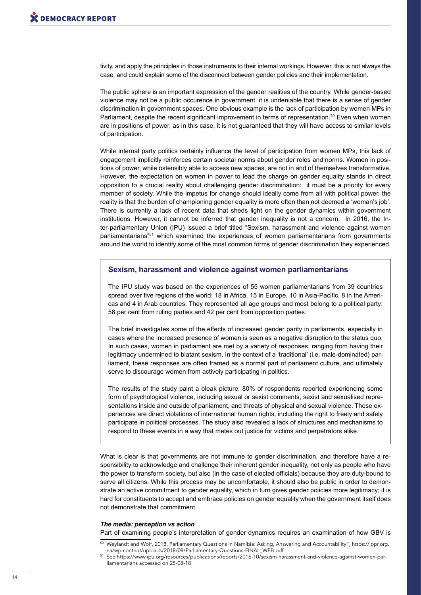tivity, and apply the principles in those instruments to their internal workings. However, this is not always the case, and could explain some of the disconnect between gender policies and their implementation.

The public sphere is an important expression of the gender realities of the country. While gender-based violence may not be a public occurence in government, it is undeniable that there is a sense of gender discrimination in government spaces. One obvious example is the lack of participation by women MPs in Parliament, despite the recent significant improvement in terms of representation.<sup>50</sup> Even when women are in positions of power, as in this case, it is not guaranteed that they will have access to similar levels of participation.

While internal party politics certainly influence the level of participation from women MPs, this lack of engagement implicitly reinforces certain societal norms about gender roles and norms. Women in positions of power, while ostensibly able to access new spaces, are not in and of themselves transformative. However, the expectation on women in power to lead the charge on gender equality stands in direct opposition to a crucial reality about challenging gender discrimination: it must be a priority for every member of society. While the impetus for change should ideally come from all with political power, the reality is that the burden of championing gender equality is more often than not deemed a 'woman's job'. There is currently a lack of recent data that sheds light on the gender dynamics within government institutions. However, it cannot be inferred that gender inequality is not a concern. In 2016, the Inter-parliamentary Union (IPU) issued a brief titled "Sexism, harassment and violence against women parliamentarians"<sup>51</sup> which examined the experiences of women parliamentarians from governments around the world to identify some of the most common forms of gender discrimination they experienced.

#### **Sexism, harassment and violence against women parliamentarians**

The IPU study was based on the experiences of 55 women parliamentarians from 39 countries spread over five regions of the world: 18 in Africa, 15 in Europe, 10 in Asia-Pacific, 8 in the Americas and 4 in Arab countries. They represented all age groups and most belong to a political party: 58 per cent from ruling parties and 42 per cent from opposition parties.

The brief investigates some of the effects of increased gender parity in parliaments, especially in cases where the increased presence of women is seen as a negative disruption to the status quo. In such cases, women in parliament are met by a variety of responses, ranging from having their legitimacy undermined to blatant sexism. In the context of a 'traditional' (i.e. male-dominated) parliament, these responses are often framed as a normal part of parliament culture, and ultimately serve to discourage women from actively participating in politics.

The results of the study paint a bleak picture: 80% of respondents reported experiencing some form of psychological violence, including sexual or sexist comments, sexist and sexualised representations inside and outside of parliament, and threats of physical and sexual violence. These experiences are direct violations of international human rights, including the right to freely and safely participate in political processes. The study also revealed a lack of structures and mechanisms to respond to these events in a way that metes out justice for victims and perpetrators alike.

What is clear is that governments are not immune to gender discrimination, and therefore have a responsibility to acknowledge and challenge their inherent gender inequality, not only as people who have the power to transform society, but also (in the case of elected officials) because they are duty-bound to serve all citizens. While this process may be uncomfortable, it should also be public in order to demonstrate an active commitment to gender equality, which in turn gives gender policies more legitimacy; it is hard for constituents to accept and embrace policies on gender equality when the government itself does not demonstrate that commitment.

#### *The media: perception vs action*

Part of examining people's interpretation of gender dynamics requires an examination of how GBV is

<sup>50</sup> Weylandt and Wolf, 2018, Parliamentary Questions in Namibia: Asking, Answering and Accountability", https://ippr.org. na/wp-content/uploads/2018/08/Parliamentary-Questions-FINAL\_WEB.pdf

<sup>51</sup> See https://www.ipu.org/resources/publications/reports/2016-10/sexism-harassment-and-violence-against-women-parliamentarians accessed on 25-08-18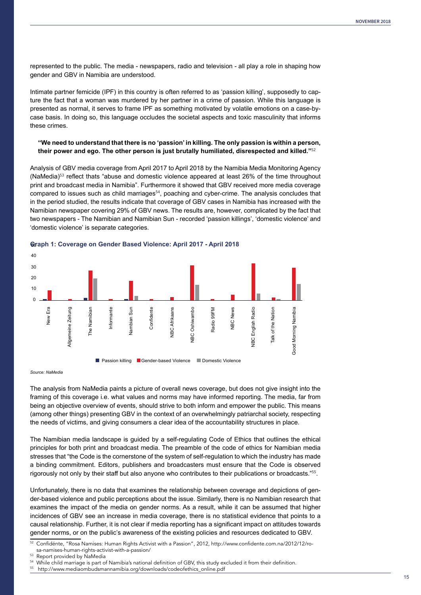represented to the public. The media - newspapers, radio and television - all play a role in shaping how gender and GBV in Namibia are understood.

Intimate partner femicide (IPF) in this country is often referred to as 'passion killing', supposedly to capture the fact that a woman was murdered by her partner in a crime of passion. While this language is presented as normal, it serves to frame IPF as something motivated by volatile emotions on a case-bycase basis. In doing so, this language occludes the societal aspects and toxic masculinity that informs these crimes.

#### **"We need to understand that there is no 'passion' in killing. The only passion is within a person, their power and ego. The other person is just brutally humiliated, disrespected and killed."**<sup>52</sup>

Analysis of GBV media coverage from April 2017 to April 2018 by the Namibia Media Monitoring Agency (NaMedia)<sup>53</sup> reflect thats "abuse and domestic violence appeared at least 26% of the time throughout print and broadcast media in Namibia". Furthermore it showed that GBV received more media coverage compared to issues such as child marriages<sup>54</sup>, poaching and cyber-crime. The analysis concludes that in the period studied, the results indicate that coverage of GBV cases in Namibia has increased with the Namibian newspaper covering 29% of GBV news. The results are, however, complicated by the fact that two newspapers - The Namibian and Namibian Sun - recorded 'passion killings', 'domestic violence' and 'domestic violence' is separate categories.





#### *Source: NaMedia*

The analysis from NaMedia paints a picture of overall news coverage, but does not give insight into the framing of this coverage i.e. what values and norms may have informed reporting. The media, far from being an objective overview of events, should strive to both inform and empower the public. This means (among other things) presenting GBV in the context of an overwhelmingly patriarchal society, respecting the needs of victims, and giving consumers a clear idea of the accountability structures in place.

The Namibian media landscape is guided by a self-regulating Code of Ethics that outlines the ethical principles for both print and broadcast media. The preamble of the code of ethics for Namibian media stresses that "the Code is the cornerstone of the system of self-regulation to which the industry has made a binding commitment. Editors, publishers and broadcasters must ensure that the Code is observed rigorously not only by their staff but also anyone who contributes to their publications or broadcasts."<sup>55</sup>.

Unfortunately, there is no data that examines the relationship between coverage and depictions of gender-based violence and public perceptions about the issue. Similarly, there is no Namibian research that examines the impact of the media on gender norms. As a result, while it can be assumed that higher incidences of GBV see an increase in media coverage, there is no statistical evidence that points to a causal relationship. Further, it is not clear if media reporting has a significant impact on attitudes towards gender norms, or on the public's awareness of the existing policies and resources dedicated to GBV.

52 Confidénte, "Rosa Namises: Human Rights Activist with a Passion", 2012, http://www.confidente.com.na/2012/12/rosa-namises-human-rights-activist-with-a-passion/

Report provided by NaMedia

While child marriage is part of Namibia's national definition of GBV, this study excluded it from their definition.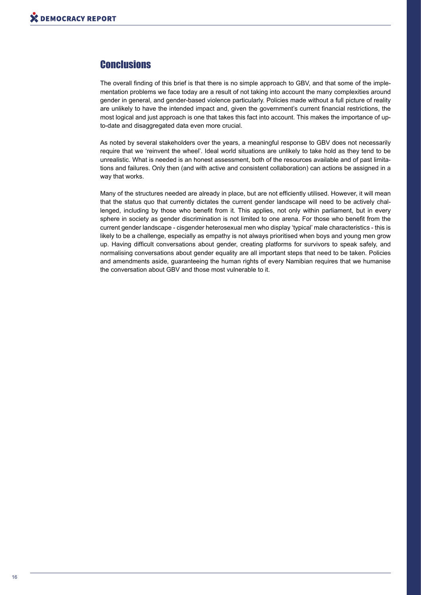# **Conclusions**

The overall finding of this brief is that there is no simple approach to GBV, and that some of the implementation problems we face today are a result of not taking into account the many complexities around gender in general, and gender-based violence particularly. Policies made without a full picture of reality are unlikely to have the intended impact and, given the government's current financial restrictions, the most logical and just approach is one that takes this fact into account. This makes the importance of upto-date and disaggregated data even more crucial.

As noted by several stakeholders over the years, a meaningful response to GBV does not necessarily require that we 'reinvent the wheel'. Ideal world situations are unlikely to take hold as they tend to be unrealistic. What is needed is an honest assessment, both of the resources available and of past limitations and failures. Only then (and with active and consistent collaboration) can actions be assigned in a way that works.

Many of the structures needed are already in place, but are not efficiently utilised. However, it will mean that the status quo that currently dictates the current gender landscape will need to be actively challenged, including by those who benefit from it. This applies, not only within parliament, but in every sphere in society as gender discrimination is not limited to one arena. For those who benefit from the current gender landscape - cisgender heterosexual men who display 'typical' male characteristics - this is likely to be a challenge, especially as empathy is not always prioritised when boys and young men grow up. Having difficult conversations about gender, creating platforms for survivors to speak safely, and normalising conversations about gender equality are all important steps that need to be taken. Policies and amendments aside, guaranteeing the human rights of every Namibian requires that we humanise the conversation about GBV and those most vulnerable to it.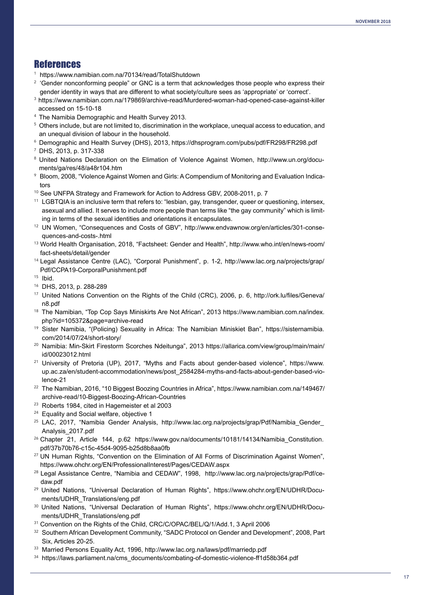### References

- 1 https://www.namibian.com.na/70134/read/TotalShutdown
- 2 'Gender nonconforming people" or GNC is a term that acknowledges those people who express their gender identity in ways that are different to what society/culture sees as 'appropriate' or 'correct'.
- <sup>3</sup> https://www.namibian.com.na/179869/archive-read/Murdered-woman-had-opened-case-against-killer accessed on 15-10-18
- <sup>4</sup> The Namibia Demographic and Health Survey 2013.
- <sup>5</sup> Others include, but are not limited to, discrimination in the workplace, unequal access to education, and an unequal division of labour in the household.
- <sup>6</sup> Demographic and Health Survey (DHS), 2013, https://dhsprogram.com/pubs/pdf/FR298/FR298.pdf
- DHS, 2013, p. 317-338
- 8 United Nations Declaration on the Elimation of Violence Against Women, http://www.un.org/documents/ga/res/48/a48r104.htm
- $^\circ$  Bloom, 2008, "Violence Against Women and Girls: A Compendium of Monitoring and Evaluation Indicators
- <sup>10</sup> See UNFPA Strategy and Framework for Action to Address GBV, 2008-2011, p. 7
- <sup>11</sup> LGBTQIA is an inclusive term that refers to: "lesbian, gay, transgender, queer or questioning, intersex, asexual and allied. It serves to include more people than terms like "the gay community" which is limiting in terms of the sexual identities and orientations it encapsulates.
- <sup>12</sup> UN Women, "Consequences and Costs of GBV", http://www.endvawnow.org/en/articles/301-consequences-and-costs-.html
- <sup>13</sup> World Health Organisation, 2018, "Factsheet: Gender and Health", http://www.who.int/en/news-room/ fact-sheets/detail/gender
- <sup>14</sup> Legal Assistance Centre (LAC), "Corporal Punishment", p. 1-2, http://www.lac.org.na/projects/grap/ Pdf/CCPA19-CorporalPunishment.pdf
- <sup>15</sup> Ibid.
- <sup>16</sup> DHS, 2013, p. 288-289
- <sup>17</sup> United Nations Convention on the Rights of the Child (CRC), 2006, p. 6, http://ork.lu/files/Geneva/ n8.pdf
- <sup>18</sup> The Namibian, "Top Cop Says Miniskirts Are Not African", 2013 https://www.namibian.com.na/index. php?id=105372&page=archive-read
- <sup>19</sup> Sister Namibia, "(Policing) Sexuality in Africa: The Namibian Miniskiet Ban", https://sisternamibia. com/2014/07/24/short-story/
- <sup>20</sup> Namibia: Min-Skirt Firestorm Scorches Ndeitunga", 2013 https://allarica.com/view/group/main/main/ id/00023012.html
- <sup>21</sup> University of Pretoria (UP), 2017, "Myths and Facts about gender-based violence", https://www. up.ac.za/en/student-accommodation/news/post\_2584284-myths-and-facts-about-gender-based-violence-21
- <sup>22</sup> The Namibian, 2016, "10 Biggest Boozing Countries in Africa", https://www.namibian.com.na/149467/ archive-read/10-Biggest-Boozing-African-Countries
- <sup>23</sup> Roberts 1984, cited in Hagemeister et al 2003
- <sup>24</sup> Equality and Social welfare, objective 1
- <sup>25</sup> LAC, 2017, "Namibia Gender Analysis, http://www.lac.org.na/projects/grap/Pdf/Namibia Gender Analysis\_2017.pdf
- <sup>26</sup> Chapter 21, Article 144, p.62 https://www.gov.na/documents/10181/14134/Namibia Constitution. pdf/37b70b76-c15c-45d4-9095-b25d8b8aa0fb
- <sup>27</sup> UN Human Rights, "Convention on the Elimination of All Forms of Discrimination Against Women", https://www.ohchr.org/EN/ProfessionalInterest/Pages/CEDAW.aspx
- <sup>28</sup> Legal Assistance Centre, "Namibia and CEDAW", 1998, http://www.lac.org.na/projects/grap/Pdf/cedaw.pdf
- <sup>29</sup> United Nations, "Universal Declaration of Human Rights", https://www.ohchr.org/EN/UDHR/Documents/UDHR\_Translations/eng.pdf
- <sup>30</sup> United Nations, "Universal Declaration of Human Rights", https://www.ohchr.org/EN/UDHR/Documents/UDHR\_Translations/eng.pdf
- <sup>31</sup> Convention on the Rights of the Child, CRC/C/OPAC/BEL/Q/1/Add.1, 3 April 2006
- 32 Southern African Development Community, "SADC Protocol on Gender and Development", 2008, Part Six, Articles 20-25.
- <sup>33</sup> Married Persons Equality Act, 1996, http://www.lac.org.na/laws/pdf/marriedp.pdf
- 34 https://laws.parliament.na/cms\_documents/combating-of-domestic-violence-ff1d58b364.pdf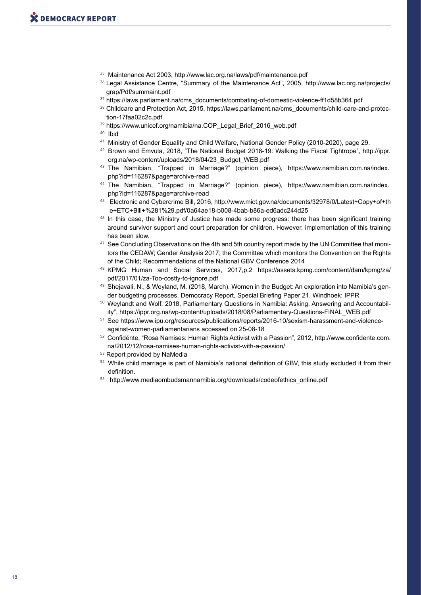- <sup>35</sup> Maintenance Act 2003, http://www.lac.org.na/laws/pdf/maintenance.pdf
- <sup>36</sup> Legal Assistance Centre, "Summary of the Maintenance Act", 2005, http://www.lac.org.na/projects/ grap/Pdf/summaint.pdf
- 37 https://laws.parliament.na/cms\_documents/combating-of-domestic-violence-ff1d58b364.pdf
- 38 Childcare and Protection Act, 2015, https://laws.parliament.na/cms\_documents/child-care-and-protection-17faa02c2c.pdf
- 39 https://www.unicef.org/namibia/na.COP\_Legal\_Brief\_2016\_web.pdf

<sup>40</sup> Ibid

- 41 Ministry of Gender Equality and Child Welfare, National Gender Policy (2010-2020), page 29.
- <sup>42</sup> Brown and Emvula, 2018, "The National Budget 2018-19: Walking the Fiscal Tightrope", http://ippr. org.na/wp-content/uploads/2018/04/23\_Budget\_WEB.pdf
- <sup>43</sup> The Namibian, "Trapped in Marriage?" (opinion piece), https://www.namibian.com.na/index. php?id=116287&page=archive-read
- <sup>44</sup> The Namibian, "Trapped in Marriage?" (opinion piece), https://www.namibian.com.na/index. php?id=116287&page=archive-read
- <sup>45</sup> Electronic and Cybercrime Bill, 2016, http://www.mict.gov.na/documents/32978/0/Latest+Copy+of+th e+ETC+Bill+%281%29.pdf/0a64ae18-b008-4bab-b86a-ed6adc244d25
- <sup>46</sup> In this case, the Ministry of Justice has made some progress: there has been significant training around survivor support and court preparation for children. However, implementation of this training has been slow.
- <sup>47</sup> See Concluding Observations on the 4th and 5th country report made by the UN Committee that monitors the CEDAW; Gender Analysis 2017; the Committee which monitors the Convention on the Rights of the Child; Recommendations of the National GBV Conference 2014
- 48 KPMG Human and Social Services, 2017,p.2 https://assets.kpmg.com/content/dam/kpmg/za/ pdf/2017/01/za-Too-costly-to-ignore.pdf
- 49 Shejavali, N., & Weyland, M. (2018, March). Women in the Budget: An exploration into Namibia's gender budgeting processes. Democracy Report, Special Briefing Paper 21. Windhoek: IPPR
- 50 Weylandt and Wolf, 2018, Parliamentary Questions in Namibia: Asking, Answering and Accountability", https://ippr.org.na/wp-content/uploads/2018/08/Parliamentary-Questions-FINAL\_WEB.pdf
- 51 See https://www.ipu.org/resources/publications/reports/2016-10/sexism-harassment-and-violenceagainst-women-parliamentarians accessed on 25-08-18
- 52 Confidénte, "Rosa Namises: Human Rights Activist with a Passion", 2012, http://www.confidente.com. na/2012/12/rosa-namises-human-rights-activist-with-a-passion/
- <sup>53</sup> Report provided by NaMedia
- <sup>54</sup> While child marriage is part of Namibia's national definition of GBV, this study excluded it from their definition.
- 55 http://www.mediaombudsmannamibia.org/downloads/codeofethics\_online.pdf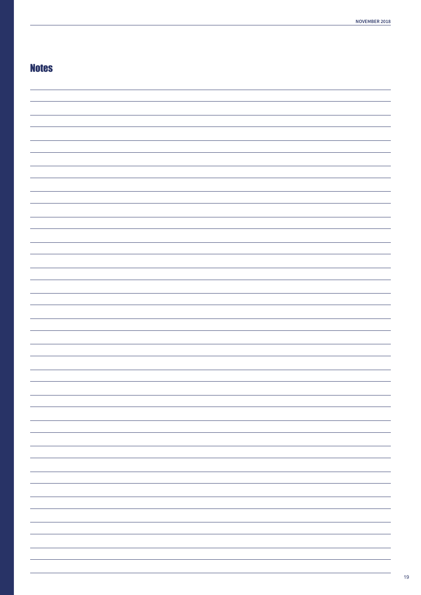# **Notes**